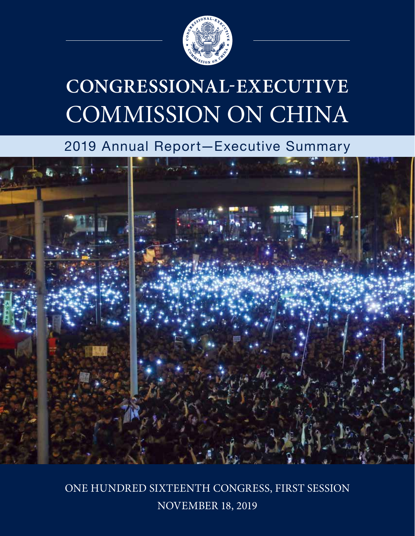

# **CONGRESSIONAL-EXECUTIVE**  COMMISSION ON CHINA

## 2019 Annual Report—Executive Summary



ONE HUNDRED SIXTEENTH CONGRESS, FIRST SESSION NOVEMBER 18, 2019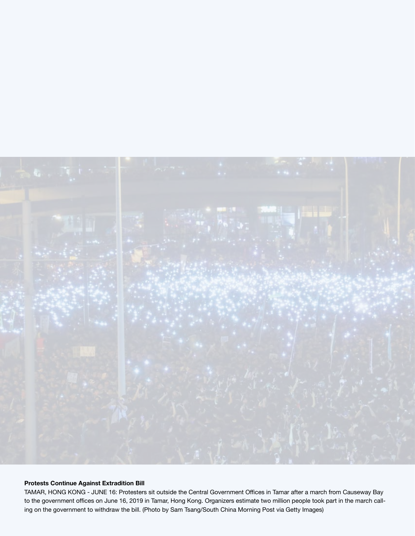

### **Protests Continue Against Extradition Bill**

TAMAR, HONG KONG - JUNE 16: Protesters sit outside the Central Government Offices in Tamar after a march from Causeway Bay to the government offices on June 16, 2019 in Tamar, Hong Kong. Organizers estimate two million people took part in the march calling on the government to withdraw the bill. (Photo by Sam Tsang/South China Morning Post via Getty Images)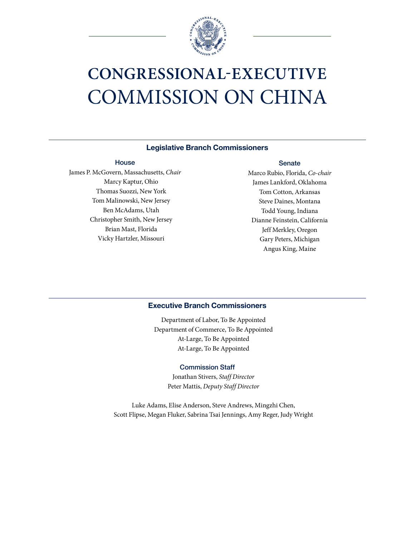

## **CONGRESSIONAL-EXECUTIVE**  COMMISSION ON CHINA

#### **Legislative Branch Commissioners**

#### **House**

James P. McGovern, Massachusetts, *Chair* Marcy Kaptur, Ohio Thomas Suozzi, New York Tom Malinowski, New Jersey Ben McAdams, Utah Christopher Smith, New Jersey Brian Mast, Florida Vicky Hartzler, Missouri

#### **Senate**

Marco Rubio, Florida, *Co-chair* James Lankford, Oklahoma Tom Cotton, Arkansas Steve Daines, Montana Todd Young, Indiana Dianne Feinstein, California Jeff Merkley, Oregon Gary Peters, Michigan Angus King, Maine

## **Executive Branch Commissioners**

Department of Labor, To Be Appointed Department of Commerce, To Be Appointed At-Large, To Be Appointed At-Large, To Be Appointed

#### Commission Staff

Jonathan Stivers, *Staff Director* Peter Mattis, *Deputy Staff Director*

Luke Adams, Elise Anderson, Steve Andrews, Mingzhi Chen, Scott Flipse, Megan Fluker, Sabrina Tsai Jennings, Amy Reger, Judy Wright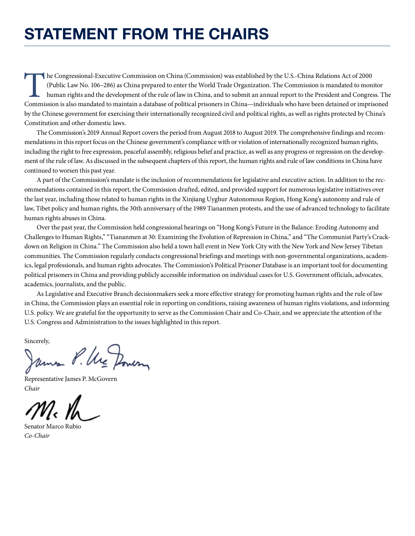## **STATEMENT FROM THE CHAIRS**

The Congressional-Executive Commission on China (Commission) was established by the U.S.-China Relations Act of 2000 (Public Law No. 106–286) as China prepared to enter the World Trade Organization. The Commission is manda (Public Law No. 106–286) as China prepared to enter the World Trade Organization. The Commission is mandated to monitor human rights and the development of the rule of law in China, and to submit an annual report to the President and Congress. The Commission is also mandated to maintain a database of political prisoners in China—individuals who have been detained or imprisoned by the Chinese government for exercising their internationally recognized civil and political rights, as well as rights protected by China's Constitution and other domestic laws.

The Commission's 2019 Annual Report covers the period from August 2018 to August 2019. The comprehensive findings and recommendations in this report focus on the Chinese government's compliance with or violation of internationally recognized human rights, including the right to free expression, peaceful assembly, religious belief and practice, as well as any progress or regression on the development of the rule of law. As discussed in the subsequent chapters of this report, the human rights and rule of law conditions in China have continued to worsen this past year.

A part of the Commission's mandate is the inclusion of recommendations for legislative and executive action. In addition to the recommendations contained in this report, the Commission drafted, edited, and provided support for numerous legislative initiatives over the last year, including those related to human rights in the Xinjiang Uyghur Autonomous Region, Hong Kong's autonomy and rule of law, Tibet policy and human rights, the 30th anniversary of the 1989 Tiananmen protests, and the use of advanced technology to facilitate human rights abuses in China.

Over the past year, the Commission held congressional hearings on "Hong Kong's Future in the Balance: Eroding Autonomy and Challenges to Human Rights," "Tiananmen at 30: Examining the Evolution of Repression in China," and "The Communist Party's Crackdown on Religion in China." The Commission also held a town hall event in New York City with the New York and New Jersey Tibetan communities. The Commission regularly conducts congressional briefings and meetings with non-governmental organizations, academics, legal professionals, and human rights advocates. The Commission's Political Prisoner Database is an important tool for documenting political prisoners in China and providing publicly accessible information on individual cases for U.S. Government officials, advocates, academics, journalists, and the public.

As Legislative and Executive Branch decisionmakers seek a more effective strategy for promoting human rights and the rule of law in China, the Commission plays an essential role in reporting on conditions, raising awareness of human rights violations, and informing U.S. policy. We are grateful for the opportunity to serve as the Commission Chair and Co-Chair, and we appreciate the attention of the U.S. Congress and Administration to the issues highlighted in this report.

Sincerely,

James P. Ure Dower

Representative James P. McGovern *Chair*

Senator Marco Rubio *Co-Chair*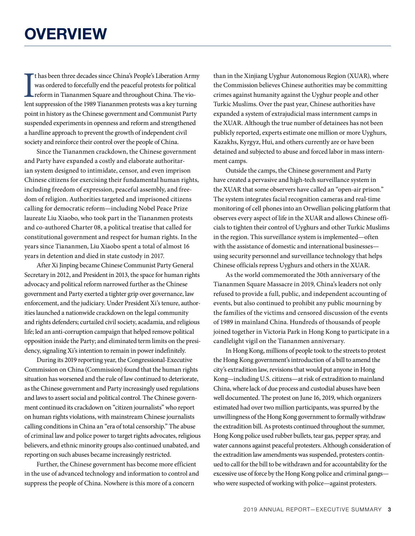It has been three decades since China's People's Liberation Army was ordered to forcefully end the peaceful protests for political reform in Tiananmen Square and throughout China. The violent suppression of the 1989 Tianan t has been three decades since China's People's Liberation Army was ordered to forcefully end the peaceful protests for political reform in Tiananmen Square and throughout China. The viopoint in history as the Chinese government and Communist Party suspended experiments in openness and reform and strengthened a hardline approach to prevent the growth of independent civil society and reinforce their control over the people of China.

Since the Tiananmen crackdown, the Chinese government and Party have expanded a costly and elaborate authoritarian system designed to intimidate, censor, and even imprison Chinese citizens for exercising their fundamental human rights, including freedom of expression, peaceful assembly, and freedom of religion. Authorities targeted and imprisoned citizens calling for democratic reform—including Nobel Peace Prize laureate Liu Xiaobo, who took part in the Tiananmen protests and co-authored Charter 08, a political treatise that called for constitutional government and respect for human rights. In the years since Tiananmen, Liu Xiaobo spent a total of almost 16 years in detention and died in state custody in 2017.

After Xi Jinping became Chinese Communist Party General Secretary in 2012, and President in 2013, the space for human rights advocacy and political reform narrowed further as the Chinese government and Party exerted a tighter grip over governance, law enforcement, and the judiciary. Under President Xi's tenure, authorities launched a nationwide crackdown on the legal community and rights defenders; curtailed civil society, acadamia, and religious life; led an anti-corruption campaign that helped remove political opposition inside the Party; and eliminated term limits on the presidency, signaling Xi's intention to remain in power indefinitely.

During its 2019 reporting year, the Congressional-Executive Commission on China (Commission) found that the human rights situation has worsened and the rule of law continued to deteriorate, as the Chinese government and Party increasingly used regulations and laws to assert social and political control. The Chinese government continued its crackdown on "citizen journalists" who report on human rights violations, with mainstream Chinese journalists calling conditions in China an "era of total censorship." The abuse of criminal law and police power to target rights advocates, religious believers, and ethnic minority groups also continued unabated, and reporting on such abuses became increasingly restricted.

Further, the Chinese government has become more efficient in the use of advanced technology and information to control and suppress the people of China. Nowhere is this more of a concern

than in the Xinjiang Uyghur Autonomous Region (XUAR), where the Commission believes Chinese authorities may be committing crimes against humanity against the Uyghur people and other Turkic Muslims. Over the past year, Chinese authorities have expanded a system of extrajudicial mass internment camps in the XUAR. Although the true number of detainees has not been publicly reported, experts estimate one million or more Uyghurs, Kazakhs, Kyrgyz, Hui, and others currently are or have been detained and subjected to abuse and forced labor in mass internment camps.

Outside the camps, the Chinese government and Party have created a pervasive and high-tech surveillance system in the XUAR that some observers have called an "open-air prison." The system integrates facial recognition cameras and real-time monitoring of cell phones into an Orwellian policing platform that observes every aspect of life in the XUAR and allows Chinese officials to tighten their control of Uyghurs and other Turkic Muslims in the region. This surveillance system is implemented—often with the assistance of domestic and international businesses using security personnel and surveillance technology that helps Chinese officials repress Uyghurs and others in the XUAR.

As the world commemorated the 30th anniversary of the Tiananmen Square Massacre in 2019, China's leaders not only refused to provide a full, public, and independent accounting of events, but also continued to prohibit any public mourning by the families of the victims and censored discussion of the events of 1989 in mainland China. Hundreds of thousands of people joined together in Victoria Park in Hong Kong to participate in a candlelight vigil on the Tiananmen anniversary.

In Hong Kong, millions of people took to the streets to protest the Hong Kong government's introduction of a bill to amend the city's extradition law, revisions that would put anyone in Hong Kong—including U.S. citizens—at risk of extradition to mainland China, where lack of due process and custodial abuses have been well documented. The protest on June 16, 2019, which organizers estimated had over two million participants, was spurred by the unwillingness of the Hong Kong government to formally withdraw the extradition bill. As protests continued throughout the summer, Hong Kong police used rubber bullets, tear gas, pepper spray, and water cannons against peaceful protesters. Although consideration of the extradition law amendments was suspended, protesters continued to call for the bill to be withdrawn and for accountability for the excessive use of force by the Hong Kong police and criminal gangs who were suspected of working with police—against protesters.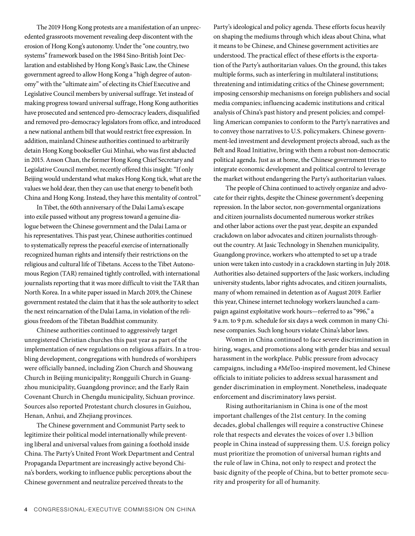The 2019 Hong Kong protests are a manifestation of an unprecedented grassroots movement revealing deep discontent with the erosion of Hong Kong's autonomy. Under the "one country, two systems" framework based on the 1984 Sino-British Joint Declaration and established by Hong Kong's Basic Law, the Chinese government agreed to allow Hong Kong a "high degree of autonomy" with the "ultimate aim" of electing its Chief Executive and Legislative Council members by universal suffrage. Yet instead of making progress toward universal suffrage, Hong Kong authorities have prosecuted and sentenced pro-democracy leaders, disqualified and removed pro-democracy legislators from office, and introduced a new national anthem bill that would restrict free expression. In addition, mainland Chinese authorities continued to arbitrarily detain Hong Kong bookseller Gui Minhai, who was first abducted in 2015. Anson Chan, the former Hong Kong Chief Secretary and Legislative Council member, recently offered this insight: "If only Beijing would understand what makes Hong Kong tick, what are the values we hold dear, then they can use that energy to benefit both China and Hong Kong. Instead, they have this mentality of control."

In Tibet, the 60th anniversary of the Dalai Lama's escape into exile passed without any progress toward a genuine dialogue between the Chinese government and the Dalai Lama or his representatives. This past year, Chinese authorities continued to systematically repress the peaceful exercise of internationally recognized human rights and intensify their restrictions on the religious and cultural life of Tibetans. Access to the Tibet Autonomous Region (TAR) remained tightly controlled, with international journalists reporting that it was more difficult to visit the TAR than North Korea. In a white paper issued in March 2019, the Chinese government restated the claim that it has the sole authority to select the next reincarnation of the Dalai Lama, in violation of the religious freedom of the Tibetan Buddhist community.

Chinese authorities continued to aggressively target unregistered Christian churches this past year as part of the implementation of new regulations on religious affairs. In a troubling development, congregations with hundreds of worshipers were officially banned, including Zion Church and Shouwang Church in Beijing municipality; Rongguili Church in Guangzhou municipality, Guangdong province; and the Early Rain Covenant Church in Chengdu municipality, Sichuan province. Sources also reported Protestant church closures in Guizhou, Henan, Anhui, and Zhejiang provinces.

The Chinese government and Communist Party seek to legitimize their political model internationally while preventing liberal and universal values from gaining a foothold inside China. The Party's United Front Work Department and Central Propaganda Department are increasingly active beyond China's borders, working to influence public perceptions about the Chinese government and neutralize perceived threats to the

Party's ideological and policy agenda. These efforts focus heavily on shaping the mediums through which ideas about China, what it means to be Chinese, and Chinese government activities are understood. The practical effect of these efforts is the exportation of the Party's authoritarian values. On the ground, this takes multiple forms, such as interfering in multilateral institutions; threatening and intimidating critics of the Chinese government; imposing censorship mechanisms on foreign publishers and social media companies; influencing academic institutions and critical analysis of China's past history and present policies; and compelling American companies to conform to the Party's narratives and to convey those narratives to U.S. policymakers. Chinese government-led investment and development projects abroad, such as the Belt and Road Initiative, bring with them a robust non-democratic political agenda. Just as at home, the Chinese government tries to integrate economic development and political control to leverage the market without endangering the Party's authoritarian values.

The people of China continued to actively organize and advocate for their rights, despite the Chinese government's deepening repression. In the labor sector, non-governmental organizations and citizen journalists documented numerous worker strikes and other labor actions over the past year, despite an expanded crackdown on labor advocates and citizen journalists throughout the country. At Jasic Technology in Shenzhen municipality, Guangdong province, workers who attempted to set up a trade union were taken into custody in a crackdown starting in July 2018. Authorities also detained supporters of the Jasic workers, including university students, labor rights advocates, and citizen journalists, many of whom remained in detention as of August 2019. Earlier this year, Chinese internet technology workers launched a campaign against exploitative work hours—referred to as "996," a 9 a.m. to 9 p.m. schedule for six days a week common in many Chinese companies. Such long hours violate China's labor laws.

Women in China continued to face severe discrimination in hiring, wages, and promotions along with gender bias and sexual harassment in the workplace. Public pressure from advocacy campaigns, including a #MeToo-inspired movement, led Chinese officials to initiate policies to address sexual harassment and gender discrimination in employment. Nonetheless, inadequate enforcement and discriminatory laws persist.

Rising authoritarianism in China is one of the most important challenges of the 21st century. In the coming decades, global challenges will require a constructive Chinese role that respects and elevates the voices of over 1.3 billion people in China instead of suppressing them. U.S. foreign policy must prioritize the promotion of universal human rights and the rule of law in China, not only to respect and protect the basic dignity of the people of China, but to better promote security and prosperity for all of humanity.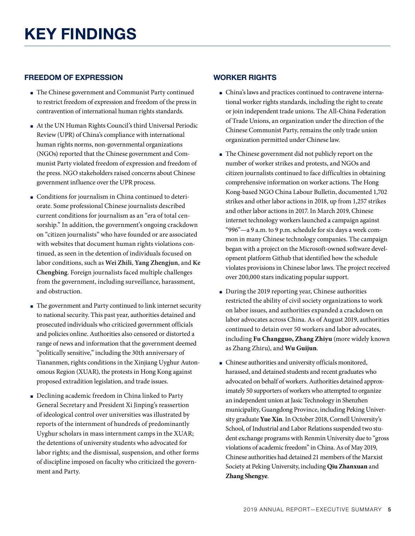## **FREEDOM OF EXPRESSION**

- The Chinese government and Communist Party continued to restrict freedom of expression and freedom of the press in contravention of international human rights standards.
- At the UN Human Rights Council's third Universal Periodic Review (UPR) of China's compliance with international human rights norms, non-governmental organizations (NGOs) reported that the Chinese government and Communist Party violated freedom of expression and freedom of the press. NGO stakeholders raised concerns about Chinese government influence over the UPR process.
- Conditions for journalism in China continued to deteriorate. Some professional Chinese journalists described current conditions for journalism as an "era of total censorship." In addition, the government's ongoing crackdown on "citizen journalists" who have founded or are associated with websites that document human rights violations continued, as seen in the detention of individuals focused on labor conditions, such as **Wei Zhili**, **Yang Zhengjun**, and **Ke Chengbing**. Foreign journalists faced multiple challenges from the government, including surveillance, harassment, and obstruction.
- The government and Party continued to link internet security to national security. This past year, authorities detained and prosecuted individuals who criticized government officials and policies online. Authorities also censored or distorted a range of news and information that the government deemed "politically sensitive," including the 30th anniversary of Tiananmen, rights conditions in the Xinjiang Uyghur Autonomous Region (XUAR), the protests in Hong Kong against proposed extradition legislation, and trade issues.
- Declining academic freedom in China linked to Party General Secretary and President Xi Jinping's reassertion of ideological control over universities was illustrated by reports of the internment of hundreds of predominantly Uyghur scholars in mass internment camps in the XUAR; the detentions of university students who advocated for labor rights; and the dismissal, suspension, and other forms of discipline imposed on faculty who criticized the government and Party.

## **WORKER RIGHTS**

- China's laws and practices continued to contravene international worker rights standards, including the right to create or join independent trade unions. The All-China Federation of Trade Unions, an organization under the direction of the Chinese Communist Party, remains the only trade union organization permitted under Chinese law.
- The Chinese government did not publicly report on the number of worker strikes and protests, and NGOs and citizen journalists continued to face difficulties in obtaining comprehensive information on worker actions. The Hong Kong-based NGO China Labour Bulletin, documented 1,702 strikes and other labor actions in 2018, up from 1,257 strikes and other labor actions in 2017. In March 2019, Chinese internet technology workers launched a campaign against "996"—a 9 a.m. to 9 p.m. schedule for six days a week common in many Chinese technology companies. The campaign began with a project on the Microsoft-owned software development platform Github that identified how the schedule violates provisions in Chinese labor laws. The project received over 200,000 stars indicating popular support.
- During the 2019 reporting year, Chinese authorities restricted the ability of civil society organizations to work on labor issues, and authorities expanded a crackdown on labor advocates across China. As of August 2019, authorities continued to detain over 50 workers and labor advocates, including **Fu Changguo, Zhang Zhiyu** (more widely known as Zhang Zhiru), and **Wu Guijun**.
- Chinese authorities and university officials monitored, harassed, and detained students and recent graduates who advocated on behalf of workers. Authorities detained approximately 50 supporters of workers who attempted to organize an independent union at Jasic Technology in Shenzhen municipality, Guangdong Province, including Peking University graduate **Yue Xin**. In October 2018, Cornell University's School, of Industrial and Labor Relations suspended two student exchange programs with Renmin University due to "gross violations of academic freedom" in China. As of May 2019, Chinese authorities had detained 21 members of the Marxist Society at Peking University, including **Qiu Zhanxuan** and **Zhang Shengye**.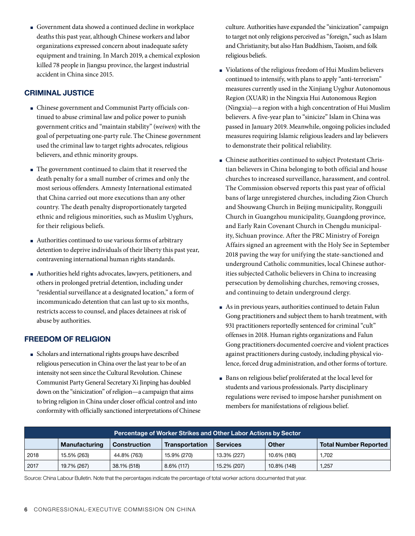■ Government data showed a continued decline in workplace deaths this past year, although Chinese workers and labor organizations expressed concern about inadequate safety equipment and training. In March 2019, a chemical explosion killed 78 people in Jiangsu province, the largest industrial accident in China since 2015.

## **CRIMINAL JUSTICE**

- Chinese government and Communist Party officials continued to abuse criminal law and police power to punish government critics and "maintain stability" (*weiwen*) with the goal of perpetuating one-party rule. The Chinese government used the criminal law to target rights advocates, religious believers, and ethnic minority groups.
- The government continued to claim that it reserved the death penalty for a small number of crimes and only the most serious offenders. Amnesty International estimated that China carried out more executions than any other country. The death penalty disproportionately targeted ethnic and religious minorities, such as Muslim Uyghurs, for their religious beliefs.
- Authorities continued to use various forms of arbitrary detention to deprive individuals of their liberty this past year, contravening international human rights standards.
- Authorities held rights advocates, lawyers, petitioners, and others in prolonged pretrial detention, including under "residential surveillance at a designated location," a form of incommunicado detention that can last up to six months, restricts access to counsel, and places detainees at risk of abuse by authorities.

## **FREEDOM OF RELIGION**

■ Scholars and international rights groups have described religious persecution in China over the last year to be of an intensity not seen since the Cultural Revolution. Chinese Communist Party General Secretary Xi Jinping has doubled down on the "sinicization" of religion—a campaign that aims to bring religion in China under closer official control and into conformity with officially sanctioned interpretations of Chinese culture. Authorities have expanded the "sinicization" campaign to target not only religions perceived as "foreign," such as Islam and Christianity, but also Han Buddhism, Taoism, and folk religious beliefs.

- Violations of the religious freedom of Hui Muslim believers continued to intensify, with plans to apply "anti-terrorism" measures currently used in the Xinjiang Uyghur Autonomous Region (XUAR) in the Ningxia Hui Autonomous Region (Ningxia)—a region with a high concentration of Hui Muslim believers. A five-year plan to "sinicize" Islam in China was passed in January 2019. Meanwhile, ongoing policies included measures requiring Islamic religious leaders and lay believers to demonstrate their political reliability.
- Chinese authorities continued to subject Protestant Christian believers in China belonging to both official and house churches to increased surveillance, harassment, and control. The Commission observed reports this past year of official bans of large unregistered churches, including Zion Church and Shouwang Church in Beijing municipality, Rongguili Church in Guangzhou municipality, Guangdong province, and Early Rain Covenant Church in Chengdu municipality, Sichuan province. After the PRC Ministry of Foreign Affairs signed an agreement with the Holy See in September 2018 paving the way for unifying the state-sanctioned and underground Catholic communities, local Chinese authorities subjected Catholic believers in China to increasing persecution by demolishing churches, removing crosses, and continuing to detain underground clergy.
- As in previous years, authorities continued to detain Falun Gong practitioners and subject them to harsh treatment, with 931 practitioners reportedly sentenced for criminal "cult" offenses in 2018. Human rights organizations and Falun Gong practitioners documented coercive and violent practices against practitioners during custody, including physical violence, forced drug administration, and other forms of torture.
- Bans on religious belief proliferated at the local level for students and various professionals. Party disciplinary regulations were revised to impose harsher punishment on members for manifestations of religious belief.

| Percentage of Worker Strikes and Other Labor Actions by Sector |                      |                     |                       |                 |             |                              |  |  |
|----------------------------------------------------------------|----------------------|---------------------|-----------------------|-----------------|-------------|------------------------------|--|--|
|                                                                | <b>Manufacturing</b> | <b>Construction</b> | <b>Transportation</b> | <b>Services</b> | Other       | <b>Total Number Reported</b> |  |  |
| 2018                                                           | 15.5% (263)          | 44.8% (763)         | 15.9% (270)           | 13.3% (227)     | 10.6% (180) | 1.702                        |  |  |
| 2017                                                           | 19.7% (267)          | 38.1% (518)         | $8.6\%$ (117)         | 15.2% (207)     | 10.8% (148) | l.257                        |  |  |

Source: China Labour Bulletin. Note that the percentages indicate the percentage of total worker actions documented that year.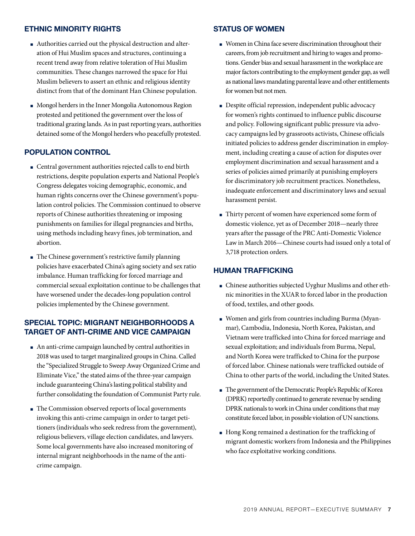### **ETHNIC MINORITY RIGHTS**

- Authorities carried out the physical destruction and alteration of Hui Muslim spaces and structures, continuing a recent trend away from relative toleration of Hui Muslim communities. These changes narrowed the space for Hui Muslim believers to assert an ethnic and religious identity distinct from that of the dominant Han Chinese population.
- Mongol herders in the Inner Mongolia Autonomous Region protested and petitioned the government over the loss of traditional grazing lands. As in past reporting years, authorities detained some of the Mongol herders who peacefully protested.

## **POPULATION CONTROL**

- Central government authorities rejected calls to end birth restrictions, despite population experts and National People's Congress delegates voicing demographic, economic, and human rights concerns over the Chinese government's population control policies. The Commission continued to observe reports of Chinese authorities threatening or imposing punishments on families for illegal pregnancies and births, using methods including heavy fines, job termination, and abortion.
- The Chinese government's restrictive family planning policies have exacerbated China's aging society and sex ratio imbalance. Human trafficking for forced marriage and commercial sexual exploitation continue to be challenges that have worsened under the decades-long population control policies implemented by the Chinese government.

## **SPECIAL TOPIC: MIGRANT NEIGHBORHOODS A TARGET OF ANTI-CRIME AND VICE CAMPAIGN**

- An anti-crime campaign launched by central authorities in 2018 was used to target marginalized groups in China. Called the "Specialized Struggle to Sweep Away Organized Crime and Eliminate Vice," the stated aims of the three-year campaign include guaranteeing China's lasting political stability and further consolidating the foundation of Communist Party rule.
- The Commission observed reports of local governments invoking this anti-crime campaign in order to target petitioners (individuals who seek redress from the government), religious believers, village election candidates, and lawyers. Some local governments have also increased monitoring of internal migrant neighborhoods in the name of the anticrime campaign.

#### **STATUS OF WOMEN**

- Women in China face severe discrimination throughout their careers, from job recruitment and hiring to wages and promotions. Gender bias and sexual harassment in the workplace are major factors contributing to the employment gender gap, as well as national laws mandating parental leave and other entitlements for women but not men.
- Despite official repression, independent public advocacy for women's rights continued to influence public discourse and policy. Following significant public pressure via advocacy campaigns led by grassroots activists, Chinese officials initiated policies to address gender discrimination in employment, including creating a cause of action for disputes over employment discrimination and sexual harassment and a series of policies aimed primarily at punishing employers for discriminatory job recruitment practices. Nonetheless, inadequate enforcement and discriminatory laws and sexual harassment persist.
- Thirty percent of women have experienced some form of domestic violence, yet as of December 2018—nearly three years after the passage of the PRC Anti-Domestic Violence Law in March 2016—Chinese courts had issued only a total of 3,718 protection orders.

#### **HUMAN TRAFFICKING**

- Chinese authorities subjected Uyghur Muslims and other ethnic minorities in the XUAR to forced labor in the production of food, textiles, and other goods.
- Women and girls from countries including Burma (Myanmar), Cambodia, Indonesia, North Korea, Pakistan, and Vietnam were trafficked into China for forced marriage and sexual exploitation; and individuals from Burma, Nepal, and North Korea were trafficked to China for the purpose of forced labor. Chinese nationals were trafficked outside of China to other parts of the world, including the United States.
- The government of the Democratic People's Republic of Korea (DPRK) reportedly continued to generate revenue by sending DPRK nationals to work in China under conditions that may constitute forced labor, in possible violation of UN sanctions.
- Hong Kong remained a destination for the trafficking of migrant domestic workers from Indonesia and the Philippines who face exploitative working conditions.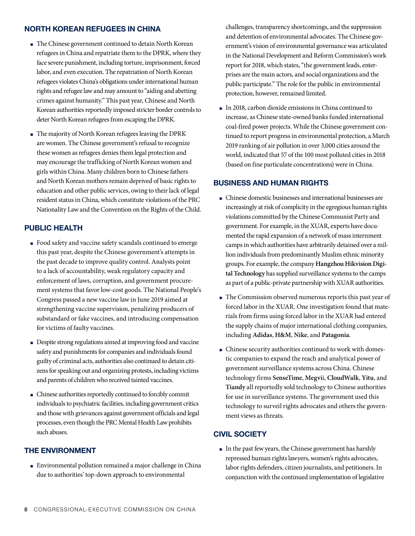## **NORTH KOREAN REFUGEES IN CHINA**

- The Chinese government continued to detain North Korean refugees in China and repatriate them to the DPRK, where they face severe punishment, including torture, imprisonment, forced labor, and even execution. The repatriation of North Korean refugees violates China's obligations under international human rights and refugee law and may amount to "aiding and abetting crimes against humanity." This past year, Chinese and North Korean authorities reportedly imposed stricter border controls to deter North Korean refugees from escaping the DPRK.
- The majority of North Korean refugees leaving the DPRK are women. The Chinese government's refusal to recognize these women as refugees denies them legal protection and may encourage the trafficking of North Korean women and girls within China. Many children born to Chinese fathers and North Korean mothers remain deprived of basic rights to education and other public services, owing to their lack of legal resident status in China, which constitute violations of the PRC Nationality Law and the Convention on the Rights of the Child.

## **PUBLIC HEALTH**

- Food safety and vaccine safety scandals continued to emerge this past year, despite the Chinese government's attempts in the past decade to improve quality control. Analysts point to a lack of accountability, weak regulatory capacity and enforcement of laws, corruption, and government procurement systems that favor low-cost goods. The National People's Congress passed a new vaccine law in June 2019 aimed at strengthening vaccine supervision, penalizing producers of substandard or fake vaccines, and introducing compensation for victims of faulty vaccines.
- Despite strong regulations aimed at improving food and vaccine safety and punishments for companies and individuals found guilty of criminal acts, authorities also continued to detain citizens for speaking out and organizing protests, including victims and parents of children who received tainted vaccines.
- Chinese authorities reportedly continued to forcibly commit individuals to psychiatric facilities, including government critics and those with grievances against government officials and legal processes, even though the PRC Mental Health Law prohibits such abuses.

## **THE ENVIRONMENT**

■ Environmental pollution remained a major challenge in China due to authorities' top-down approach to environmental

challenges, transparency shortcomings, and the suppression and detention of environmental advocates. The Chinese government's vision of environmental governance was articulated in the National Development and Reform Commission's work report for 2018, which states, "the government leads, enterprises are the main actors, and social organizations and the public participate." The role for the public in environmental protection, however, remained limited.

■ In 2018, carbon dioxide emissions in China continued to increase, as Chinese state-owned banks funded international coal-fired power projects. While the Chinese government continued to report progress in environmental protection, a March 2019 ranking of air pollution in over 3,000 cities around the world, indicated that 57 of the 100 most polluted cities in 2018 (based on fine particulate concentrations) were in China.

## **BUSINESS AND HUMAN RIGHTS**

- Chinese domestic businesses and international businesses are increasingly at risk of complicity in the egregious human rights violations committed by the Chinese Communist Party and government. For example, in the XUAR, experts have documented the rapid expansion of a network of mass internment camps in which authorities have arbitrarily detained over a million individuals from predominantly Muslim ethnic minority groups. For example, the company **Hangzhou Hikvision Digital Technology** has supplied surveillance systems to the camps as part of a public-private partnership with XUAR authorities.
- The Commission observed numerous reports this past year of forced labor in the XUAR. One investigation found that materials from firms using forced labor in the XUAR had entered the supply chains of major international clothing companies, including **Adidas**, **H&M**, **Nike**, and **Patagonia**.
- Chinese security authorities continued to work with domestic companies to expand the reach and analytical power of government surveillance systems across China. Chinese technology firms **SenseTime**, **Megvi**i, **CloudWalk**, **Yitu**, and **Tiandy** all reportedly sold technology to Chinese authorities for use in surveillance systems. The government used this technology to surveil rights advocates and others the government views as threats.

## **CIVIL SOCIETY**

■ In the past few years, the Chinese government has harshly repressed human rights lawyers, women's rights advocates, labor rights defenders, citizen journalists, and petitioners. In conjunction with the continued implementation of legislative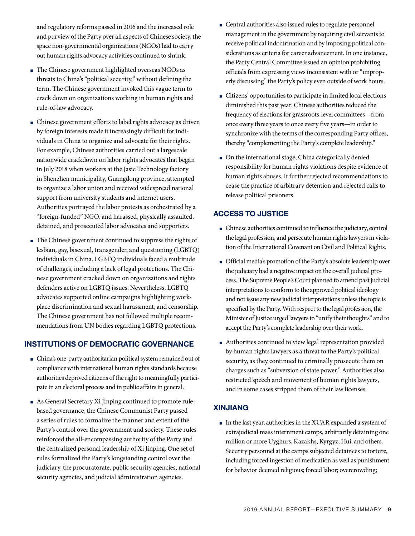and regulatory reforms passed in 2016 and the increased role and purview of the Party over all aspects of Chinese society, the space non-governmental organizations (NGOs) had to carry out human rights advocacy activities continued to shrink.

- The Chinese government highlighted overseas NGOs as threats to China's "political security," without defining the term. The Chinese government invoked this vague term to crack down on organizations working in human rights and rule-of-law advocacy.
- Chinese government efforts to label rights advocacy as driven by foreign interests made it increasingly difficult for individuals in China to organize and advocate for their rights. For example, Chinese authorities carried out a largescale nationwide crackdown on labor rights advocates that began in July 2018 when workers at the Jasic Technology factory in Shenzhen municipality, Guangdong province, attempted to organize a labor union and received widespread national support from university students and internet users. Authorities portrayed the labor protests as orchestrated by a "foreign-funded" NGO, and harassed, physically assaulted, detained, and prosecuted labor advocates and supporters.
- The Chinese government continued to suppress the rights of lesbian, gay, bisexual, transgender, and questioning (LGBTQ) individuals in China. LGBTQ individuals faced a multitude of challenges, including a lack of legal protections. The Chinese government cracked down on organizations and rights defenders active on LGBTQ issues. Nevertheless, LGBTQ advocates supported online campaigns highlighting workplace discrimination and sexual harassment, and censorship. The Chinese government has not followed multiple recommendations from UN bodies regarding LGBTQ protections.

## **INSTITUTIONS OF DEMOCRATIC GOVERNANCE**

- China's one-party authoritarian political system remained out of compliance with international human rights standards because authorities deprived citizens of the right to meaningfully participate in an electoral process and in public affairs in general.
- As General Secretary Xi Jinping continued to promote rulebased governance, the Chinese Communist Party passed a series of rules to formalize the manner and extent of the Party's control over the government and society. These rules reinforced the all-encompassing authority of the Party and the centralized personal leadership of Xi Jinping. One set of rules formalized the Party's longstanding control over the judiciary, the procuratorate, public security agencies, national security agencies, and judicial administration agencies.
- Central authorities also issued rules to regulate personnel management in the government by requiring civil servants to receive political indoctrination and by imposing political considerations as criteria for career advancement. In one instance, the Party Central Committee issued an opinion prohibiting officials from expressing views inconsistent with or "improperly discussing" the Party's policy even outside of work hours.
- Citizens' opportunities to participate in limited local elections diminished this past year. Chinese authorities reduced the frequency of elections for grassroots-level committees—from once every three years to once every five years—in order to synchronize with the terms of the corresponding Party offices, thereby "complementing the Party's complete leadership."
- On the international stage, China categorically denied responsibility for human rights violations despite evidence of human rights abuses. It further rejected recommendations to cease the practice of arbitrary detention and rejected calls to release political prisoners.

## **ACCESS TO JUSTICE**

- Chinese authorities continued to influence the judiciary, control the legal profession, and persecute human rights lawyers in violation of the International Covenant on Civil and Political Rights.
- Official media's promotion of the Party's absolute leadership over the judiciary had a negative impact on the overall judicial process. The Supreme People's Court planned to amend past judicial interpretations to conform to the approved political ideology and not issue any new judicial interpretations unless the topic is specified by the Party. With respect to the legal profession, the Minister of Justice urged lawyers to "unify their thoughts" and to accept the Party's complete leadership over their work.
- Authorities continued to view legal representation provided by human rights lawyers as a threat to the Party's political security, as they continued to criminally prosecute them on charges such as "subversion of state power." Authorities also restricted speech and movement of human rights lawyers, and in some cases stripped them of their law licenses.

## **XINJIANG**

■ In the last year, authorities in the XUAR expanded a system of extrajudicial mass internment camps, arbitrarily detaining one million or more Uyghurs, Kazakhs, Kyrgyz, Hui, and others. Security personnel at the camps subjected detainees to torture, including forced ingestion of medication as well as punishment for behavior deemed religious; forced labor; overcrowding;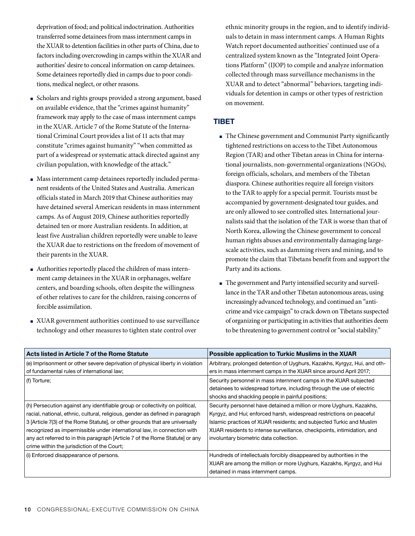deprivation of food; and political indoctrination. Authorities transferred some detainees from mass internment camps in the XUAR to detention facilities in other parts of China, due to factors including overcrowding in camps within the XUAR and authorities' desire to conceal information on camp detainees. Some detainees reportedly died in camps due to poor conditions, medical neglect, or other reasons.

- Scholars and rights groups provided a strong argument, based on available evidence, that the "crimes against humanity" framework may apply to the case of mass internment camps in the XUAR. Article 7 of the Rome Statute of the International Criminal Court provides a list of 11 acts that may constitute "crimes against humanity" "when committed as part of a widespread or systematic attack directed against any civilian population, with knowledge of the attack."
- Mass internment camp detainees reportedly included permanent residents of the United States and Australia. American officials stated in March 2019 that Chinese authorities may have detained several American residents in mass internment camps. As of August 2019, Chinese authorities reportedly detained ten or more Australian residents. In addition, at least five Australian children reportedly were unable to leave the XUAR due to restrictions on the freedom of movement of their parents in the XUAR.
- Authorities reportedly placed the children of mass internment camp detainees in the XUAR in orphanages, welfare centers, and boarding schools, often despite the willingness of other relatives to care for the children, raising concerns of forcible assimilation.
- XUAR government authorities continued to use surveillance technology and other measures to tighten state control over

ethnic minority groups in the region, and to identify individuals to detain in mass internment camps. A Human Rights Watch report documented authorities' continued use of a centralized system known as the "Integrated Joint Operations Platform" (IJOP) to compile and analyze information collected through mass surveillance mechanisms in the XUAR and to detect "abnormal" behaviors, targeting individuals for detention in camps or other types of restriction on movement.

## **TIBET**

- The Chinese government and Communist Party significantly tightened restrictions on access to the Tibet Autonomous Region (TAR) and other Tibetan areas in China for international journalists, non-governmental organizations (NGOs), foreign officials, scholars, and members of the Tibetan diaspora. Chinese authorities require all foreign visitors to the TAR to apply for a special permit. Tourists must be accompanied by government-designated tour guides, and are only allowed to see controlled sites. International journalists said that the isolation of the TAR is worse than that of North Korea, allowing the Chinese government to conceal human rights abuses and environmentally damaging largescale activities, such as damming rivers and mining, and to promote the claim that Tibetans benefit from and support the Party and its actions.
- The government and Party intensified security and surveillance in the TAR and other Tibetan autonomous areas, using increasingly advanced technology, and continued an "anticrime and vice campaign" to crack down on Tibetans suspected of organizing or participating in activities that authorities deem to be threatening to government control or "social stability."

| Acts listed in Article 7 of the Rome Statute                                  | Possible application to Turkic Muslims in the XUAR                        |
|-------------------------------------------------------------------------------|---------------------------------------------------------------------------|
| (e) Imprisonment or other severe deprivation of physical liberty in violation | Arbitrary, prolonged detention of Uyghurs, Kazakhs, Kyrgyz, Hui, and oth- |
| of fundamental rules of international law;                                    | ers in mass internment camps in the XUAR since around April 2017;         |
| (f) Torture;                                                                  | Security personnel in mass internment camps in the XUAR subjected         |
|                                                                               | detainees to widespread torture, including through the use of electric    |
|                                                                               | shocks and shackling people in painful positions;                         |
| (h) Persecution against any identifiable group or collectivity on political,  | Security personnel have detained a million or more Uyghurs, Kazakhs,      |
| racial, national, ethnic, cultural, religious, gender as defined in paragraph | Kyrgyz, and Hui; enforced harsh, widespread restrictions on peaceful      |
| 3 [Article 7(3) of the Rome Statute], or other grounds that are universally   | Islamic practices of XUAR residents; and subjected Turkic and Muslim      |
| recognized as impermissible under international law, in connection with       | XUAR residents to intense surveillance, checkpoints, intimidation, and    |
| any act referred to in this paragraph [Article 7 of the Rome Statute] or any  | involuntary biometric data collection.                                    |
| crime within the jurisdiction of the Court;                                   |                                                                           |
| (i) Enforced disappearance of persons.                                        | Hundreds of intellectuals forcibly disappeared by authorities in the      |
|                                                                               | XUAR are among the million or more Uyghurs, Kazakhs, Kyrgyz, and Hui      |
|                                                                               | detained in mass internment camps.                                        |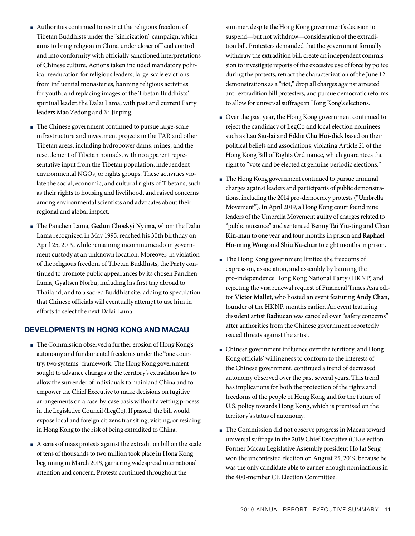- Authorities continued to restrict the religious freedom of Tibetan Buddhists under the "sinicization" campaign, which aims to bring religion in China under closer official control and into conformity with officially sanctioned interpretations of Chinese culture. Actions taken included mandatory political reeducation for religious leaders, large-scale evictions from influential monasteries, banning religious activities for youth, and replacing images of the Tibetan Buddhists' spiritual leader, the Dalai Lama, with past and current Party leaders Mao Zedong and Xi Jinping.
- The Chinese government continued to pursue large-scale infrastructure and investment projects in the TAR and other Tibetan areas, including hydropower dams, mines, and the resettlement of Tibetan nomads, with no apparent representative input from the Tibetan population, independent environmental NGOs, or rights groups. These activities violate the social, economic, and cultural rights of Tibetans, such as their rights to housing and livelihood, and raised concerns among environmental scientists and advocates about their regional and global impact.
- The Panchen Lama, **Gedun Choekyi Nyima**, whom the Dalai Lama recognized in May 1995, reached his 30th birthday on April 25, 2019, while remaining incommunicado in government custody at an unknown location. Moreover, in violation of the religious freedom of Tibetan Buddhists, the Party continued to promote public appearances by its chosen Panchen Lama, Gyaltsen Norbu, including his first trip abroad to Thailand, and to a sacred Buddhist site, adding to speculation that Chinese officials will eventually attempt to use him in efforts to select the next Dalai Lama.

## **DEVELOPMENTS IN HONG KONG AND MACAU**

- The Commission observed a further erosion of Hong Kong's autonomy and fundamental freedoms under the "one country, two systems" framework. The Hong Kong government sought to advance changes to the territory's extradition law to allow the surrender of individuals to mainland China and to empower the Chief Executive to make decisions on fugitive arrangements on a case-by-case basis without a vetting process in the Legislative Council (LegCo). If passed, the bill would expose local and foreign citizens transiting, visiting, or residing in Hong Kong to the risk of being extradited to China.
- A series of mass protests against the extradition bill on the scale of tens of thousands to two million took place in Hong Kong beginning in March 2019, garnering widespread international attention and concern. Protests continued throughout the

summer, despite the Hong Kong government's decision to suspend—but not withdraw—consideration of the extradition bill. Protesters demanded that the government formally withdraw the extradition bill, create an independent commission to investigate reports of the excessive use of force by police during the protests, retract the characterization of the June 12 demonstrations as a "riot," drop all charges against arrested anti-extradition bill protesters, and pursue democratic reforms to allow for universal suffrage in Hong Kong's elections.

- Over the past year, the Hong Kong government continued to reject the candidacy of LegCo and local election nominees such as **Lau Siu-lai** and **Eddie Chu Hoi-dick** based on their political beliefs and associations, violating Article 21 of the Hong Kong Bill of Rights Ordinance, which guarantees the right to "vote and be elected at genuine periodic elections."
- The Hong Kong government continued to pursue criminal charges against leaders and participants of public demonstrations, including the 2014 pro-democracy protests ("Umbrella Movement"). In April 2019, a Hong Kong court found nine leaders of the Umbrella Movement guilty of charges related to "public nuisance" and sentenced **Benny Tai Yiu-ting** and **Chan Kin-man** to one year and four months in prison and **Raphael Ho-ming Wong** and **Shiu Ka-chun** to eight months in prison.
- The Hong Kong government limited the freedoms of expression, association, and assembly by banning the pro-independence Hong Kong National Party (HKNP) and rejecting the visa renewal request of Financial Times Asia editor **Victor Mallet**, who hosted an event featuring **Andy Chan**, founder of the HKNP, months earlier. An event featuring dissident artist **Badiucao** was canceled over "safety concerns" after authorities from the Chinese government reportedly issued threats against the artist.
- Chinese government influence over the territory, and Hong Kong officials' willingness to conform to the interests of the Chinese government, continued a trend of decreased autonomy observed over the past several years. This trend has implications for both the protection of the rights and freedoms of the people of Hong Kong and for the future of U.S. policy towards Hong Kong, which is premised on the territory's status of autonomy.
- The Commission did not observe progress in Macau toward universal suffrage in the 2019 Chief Executive (CE) election. Former Macau Legislative Assembly president Ho Iat Seng won the uncontested election on August 25, 2019, because he was the only candidate able to garner enough nominations in the 400-member CE Election Committee.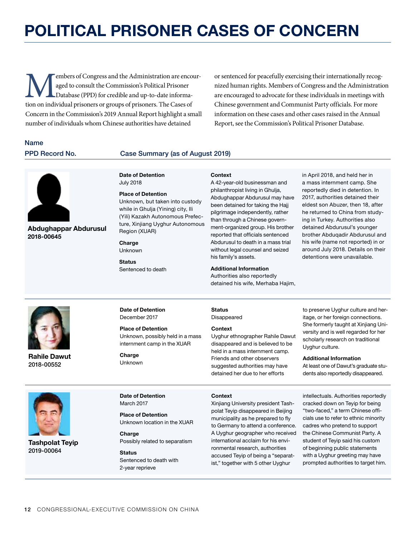## **POLITICAL PRISONER CASES OF CONCERN**

Members of Congress and the Administration are encour-<br>
aged to consult the Commission's Political Prisoner<br>
Database (PPD) for credible and up-to-date informa-<br>
tion on individual prisoners or groups of prisoners. The Cas aged to consult the Commission's Political Prisoner Database (PPD) for credible and up-to-date informa-Concern in the Commission's 2019 Annual Report highlight a small number of individuals whom Chinese authorities have detained

or sentenced for peacefully exercising their internationally recognized human rights. Members of Congress and the Administration are encouraged to advocate for these individuals in meetings with Chinese government and Communist Party officials. For more information on these cases and other cases raised in the Annual Report, see the Commission's Political Prisoner Database.

## Name

**2018-00645**

### PPD Record No. Case Summary (as of August 2019)

**Date of Detention** July 2018

**Place of Detention**

Unknown, but taken into custody while in Ghulja (Yining) city, Ili (Yili) Kazakh Autonomous Prefecture, Xinjiang Uyghur Autonomous Region (XUAR)

#### **Charge** Unknown

**Status** Sentenced to death A 42-year-old businessman and philanthropist living in Ghulja, Abdughappar Abdurusul may have been detained for taking the Hajj pilgrimage independently, rather than through a Chinese government-organized group. His brother reported that officials sentenced Abdurusul to death in a mass trial without legal counsel and seized his family's assets.

### **Additional Information**

Authorities also reportedly detained his wife, Merhaba Hajim, in April 2018, and held her in a mass internment camp. She reportedly died in detention. In 2017, authorities detained their eldest son Abuzer, then 18, after he returned to China from studying in Turkey. Authorities also detained Abdurusul's younger brother Abduqadir Abdurusul and his wife (name not reported) in or around July 2018. Details on their detentions were unavailable.



**Abdughappar Abdurusul**

**Rahile Dawut** 2018-00552

**Date of Detention** December 2017

**Place of Detention** Unknown, possibly held in a mass internment camp in the XUAR

**Charge** Unknown

**Status** Disappeared

**Context**

#### **Context**

Uyghur ethnographer Rahile Dawut disappeared and is believed to be held in a mass internment camp. Friends and other observers suggested authorities may have detained her due to her efforts

to preserve Uyghur culture and heritage, or her foreign connections. She formerly taught at Xinjiang University and is well regarded for her scholarly research on traditional Uyghur culture.

#### **Additional Information**

At least one of Dawut's graduate students also reportedly disappeared.



**Tashpolat Teyip** 2019-00064

**Date of Detention** March 2017

**Place of Detention** Unknown location in the XUAR

**Charge** Possibly related to separatism

**Status** Sentenced to death with 2-year reprieve

**Context**

Xinjiang University president Tashpolat Teyip disappeared in Beijing municipality as he prepared to fly to Germany to attend a conference. A Uyghur geographer who received international acclaim for his environmental research, authorities accused Teyip of being a "separatist," together with 5 other Uyghur

intellectuals. Authorities reportedly cracked down on Teyip for being "two-faced," a term Chinese officials use to refer to ethnic minority cadres who pretend to support the Chinese Communist Party. A student of Teyip said his custom of beginning public statements with a Uyghur greeting may have prompted authorities to target him.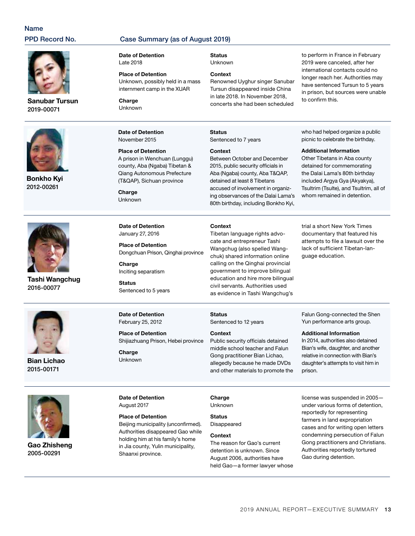## Name

## PPD Record No. Case Summary (as of August 2019)

**Sanubar Tursun** 2019-00071



**Bonkho Kyi** 2012-00261



**Tashi Wangchug** 2016-00077



**Bian Lichao** 2015-00171



**Gao Zhisheng** 2005-00291

**Date of Detention** Late 2018

**Place of Detention** Unknown, possibly held in a mass internment camp in the XUAR

**Charge** Unknown

**Date of Detention** November 2015

#### **Place of Detention**

A prison in Wenchuan (Lunggu) county, Aba (Ngaba) Tibetan & Qiang Autonomous Prefecture (T&QAP), Sichuan province

**Charge** Unknown Unknown

#### **Context**

concerts she had been scheduled

**Status**

Sentenced to 7 years

#### **Context**

**Context**

Between October and December 2015, public security officials in Aba (Ngaba) county, Aba T&QAP, detained at least 8 Tibetans accused of involvement in organizing observances of the Dalai Lama's 80th birthday, including Bonkho Kyi,

Tibetan language rights advocate and entrepreneur Tashi Wangchug (also spelled Wangchuk) shared information online calling on the Qinghai provincial government to improve bilingual education and hire more bilingual civil servants. Authorities used as evidence in Tashi Wangchug's

have sentenced Tursun to 5 years in prison, but sources were unable to confirm this.

to perform in France in February 2019 were canceled, after her international contacts could no longer reach her. Authorities may

who had helped organize a public picnic to celebrate the birthday.

#### **Additional Information**

Other Tibetans in Aba county detained for commemorating the Dalai Lama's 80th birthday included Argya Gya (Akyakya), Tsultrim (Tsulte), and Tsultrim, all of whom remained in detention.

**Date of Detention** January 27, 2016

**Place of Detention** Dongchuan Prison, Qinghai province

**Charge** Inciting separatism

**Status** Sentenced to 5 years

**Date of Detention** February 25, 2012

**Date of Detention** August 2017

**Place of Detention**

Shaanxi province.

**Charge** Unknown

**Place of Detention** Shijiazhuang Prison, Hebei province

Beijing municipality (unconfirmed). Authorities disappeared Gao while holding him at his family's home in Jia county, Yulin municipality,

Public security officials detained middle school teacher and Falun Gong practitioner Bian Lichao, allegedly because he made DVDs

and other materials to promote the

Sentenced to 12 years

**Charge**

**Status**

**Context**

Unknown

**Status** Disappeared

#### **Context**

The reason for Gao's current detention is unknown. Since August 2006, authorities have held Gao—a former lawyer whose trial a short New York Times documentary that featured his attempts to file a lawsuit over the lack of sufficient Tibetan-language education.

Falun Gong-connected the Shen Yun performance arts group.

**Additional Information**

In 2014, authorities also detained Bian's wife, daughter, and another relative in connection with Bian's daughter's attempts to visit him in prison.

license was suspended in 2005 under various forms of detention, reportedly for representing farmers in land expropriation cases and for writing open letters condemning persecution of Falun Gong practitioners and Christians. Authorities reportedly tortured Gao during detention.

2019 ANNUAL REPORT-EXECUTIVE SUMMARY 13

**Status**

Renowned Uyghur singer Sanubar Tursun disappeared inside China in late 2018. In November 2018,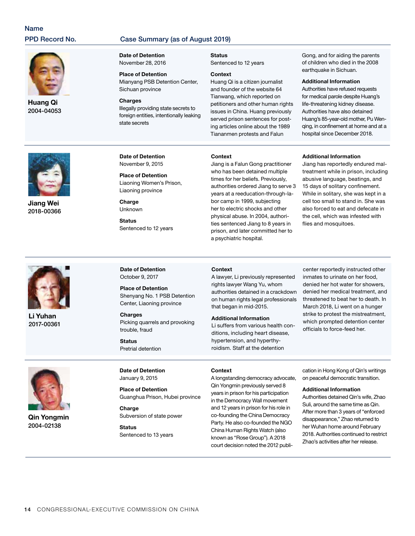## Name

## PPD Record No. Case Summary (as of August 2019)



**Huang Qi**  2004-04053

#### **Date of Detention** November 28, 2016

**Place of Detention** Mianyang PSB Detention Center, Sichuan province

#### **Charges** Illegally providing state secrets to foreign entities, intentionally leaking state secrets

**Status** Sentenced to 12 years

#### **Context**

Huang Qi is a citizen journalist and founder of the website 64 Tianwang, which reported on petitioners and other human rights issues in China. Huang previously served prison sentences for posting articles online about the 1989 Tiananmen protests and Falun

Gong, and for aiding the parents of children who died in the 2008 earthquake in Sichuan.

#### **Additional Information**

Authorities have refused requests for medical parole despite Huang's life-threatening kidney disease. Authorities have also detained Huang's 85-year-old mother, Pu Wenqing, in confinement at home and at a hospital since December 2018.



**Jiang Wei** 2018-00366 **Date of Detention** November 9, 2015

**Place of Detention** Liaoning Women's Prison, Liaoning province

**Charge** Unknown

**Status** Sentenced to 12 years

#### **Context**

Jiang is a Falun Gong practitioner who has been detained multiple times for her beliefs. Previously, authorities ordered Jiang to serve 3 years at a reeducation-through-labor camp in 1999, subjecting her to electric shocks and other physical abuse. In 2004, authorities sentenced Jiang to 8 years in prison, and later committed her to a psychiatric hospital.

#### **Additional Information**

Jiang has reportedly endured maltreatment while in prison, including abusive language, beatings, and 15 days of solitary confinement. While in solitary, she was kept in a cell too small to stand in. She was also forced to eat and defecate in the cell, which was infested with flies and mosquitoes.



**Li Yuhan** 2017-00361

**Date of Detention** October 9, 2017

**Place of Detention** Shenyang No. 1 PSB Detention Center, Liaoning province

**Charges** Picking quarrels and provoking trouble, fraud

**Status** Pretrial detention

#### **Context**

A lawyer, Li previously represented rights lawyer Wang Yu, whom authorities detained in a crackdown on human rights legal professionals that began in mid-2015.

#### **Additional Information**

Li suffers from various health conditions, including heart disease, hypertension, and hyperthyroidism. Staff at the detention

center reportedly instructed other inmates to urinate on her food, denied her hot water for showers, denied her medical treatment, and threatened to beat her to death. In March 2018, Li went on a hunger strike to protest the mistreatment, which prompted detention center officials to force-feed her.



**Qin Yongmin** 2004-02138

**Date of Detention** January 9, 2015

**Place of Detention** Guanghua Prison, Hubei province

**Charge** Subversion of state power

**Status** Sentenced to 13 years

#### **Context**

A longstanding democracy advocate, Qin Yongmin previously served 8 years in prison for his participation in the Democracy Wall movement and 12 years in prison for his role in co-founding the China Democracy Party. He also co-founded the NGO China Human Rights Watch (also known as "Rose Group"). A 2018 court decision noted the 2012 publi-

cation in Hong Kong of Qin's writings on peaceful democratic transition.

#### **Additional Information**

Authorities detained Qin's wife, Zhao Suli, around the same time as Qin. After more than 3 years of "enforced disappearance," Zhao returned to her Wuhan home around February 2018. Authorities continued to restrict Zhao's activities after her release.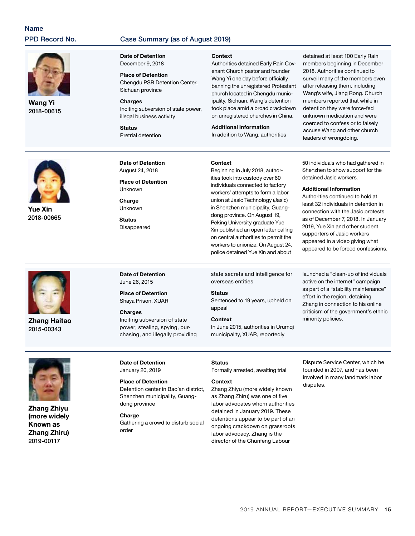## Name

## PPD Record No. Case Summary (as of August 2019)



**Wang Yi** 2018-00615

#### **Date of Detention** December 9, 2018

**Place of Detention** Chengdu PSB Detention Center, Sichuan province

**Charges** Inciting subversion of state power, illegal business activity

**Status** Pretrial detention **Context**

Authorities detained Early Rain Covenant Church pastor and founder Wang Yi one day before officially banning the unregistered Protestant church located in Chengdu municipality, Sichuan. Wang's detention took place amid a broad crackdown on unregistered churches in China.

**Additional Information** In addition to Wang, authorities

detained at least 100 Early Rain members beginning in December 2018. Authorities continued to surveil many of the members even after releasing them, including Wang's wife, Jiang Rong. Church members reported that while in detention they were force-fed unknown medication and were coerced to confess or to falsely accuse Wang and other church leaders of wrongdoing.



**Yue Xin**  2018-00665



**Date of Detention** August 24, 2018

**Place of Detention Unknown** 

**Charge** Unknown

**Status** Disappeared **Context**

Beginning in July 2018, authorities took into custody over 60 individuals connected to factory workers' attempts to form a labor union at Jasic Technology (Jasic) in Shenzhen municipality, Guangdong province. On August 19, Peking University graduate Yue Xin published an open letter calling on central authorities to permit the workers to unionize. On August 24, police detained Yue Xin and about

50 individuals who had gathered in Shenzhen to show support for the detained Jasic workers.

#### **Additional Information**

Authorities continued to hold at least 32 individuals in detention in connection with the Jasic protests as of December 7, 2018. In January 2019, Yue Xin and other student supporters of Jasic workers appeared in a video giving what appeared to be forced confessions.



**Zhang Haitao**  2015-00343

**Date of Detention** June 26, 2015

**Place of Detention** Shaya Prison, XUAR

## **Charges**

Inciting subversion of state power; stealing, spying, purchasing, and illegally providing state secrets and intelligence for overseas entities

#### **Status**

Sentenced to 19 years, upheld on appeal

#### **Context**

In June 2015, authorities in Urumqi municipality, XUAR, reportedly

launched a "clean-up of individuals active on the internet" campaign as part of a "stability maintenance" effort in the region, detaining Zhang in connection to his online criticism of the government's ethnic minority policies.



**Zhang Zhiyu (more widely Known as Zhang Zhiru)** 2019-00117

#### **Date of Detention** January 20, 2019

**Place of Detention** Detention center in Bao'an district, Shenzhen municipality, Guangdong province

## **Charge**

Gathering a crowd to disturb social order

#### **Status**

Formally arrested, awaiting trial

#### **Context**

Zhang Zhiyu (more widely known as Zhang Zhiru) was one of five labor advocates whom authorities detained in January 2019. These detentions appear to be part of an ongoing crackdown on grassroots labor advocacy. Zhang is the director of the Chunfeng Labour

Dispute Service Center, which he founded in 2007, and has been involved in many landmark labor disputes.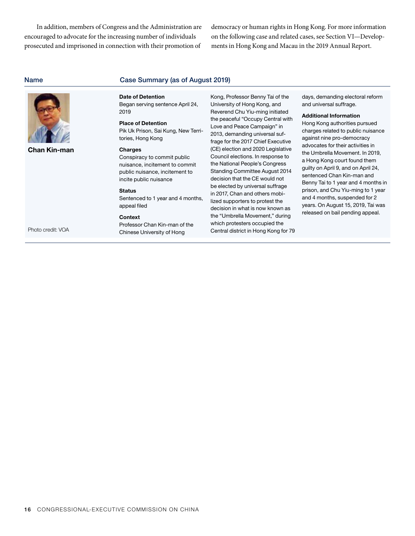In addition, members of Congress and the Administration are encouraged to advocate for the increasing number of individuals prosecuted and imprisoned in connection with their promotion of

democracy or human rights in Hong Kong. For more information on the following case and related cases, see Section VI—Developments in Hong Kong and Macau in the 2019 Annual Report.

| <b>Name</b>                              | Case Summary (as of August 2019)                                                                                                                                                                                                                                                                                                                                                                                                                                    |                                                                                                                                                                                                                                                                                                                                                                                                                                                                                                                                                                                                                                                                                                  |                                                                                                                                                                                                                                                                                                                                                                                                                                                                                                                                                                        |  |  |  |
|------------------------------------------|---------------------------------------------------------------------------------------------------------------------------------------------------------------------------------------------------------------------------------------------------------------------------------------------------------------------------------------------------------------------------------------------------------------------------------------------------------------------|--------------------------------------------------------------------------------------------------------------------------------------------------------------------------------------------------------------------------------------------------------------------------------------------------------------------------------------------------------------------------------------------------------------------------------------------------------------------------------------------------------------------------------------------------------------------------------------------------------------------------------------------------------------------------------------------------|------------------------------------------------------------------------------------------------------------------------------------------------------------------------------------------------------------------------------------------------------------------------------------------------------------------------------------------------------------------------------------------------------------------------------------------------------------------------------------------------------------------------------------------------------------------------|--|--|--|
| <b>Chan Kin-man</b><br>Photo credit: VOA | <b>Date of Detention</b><br>Began serving sentence April 24,<br>2019<br><b>Place of Detention</b><br>Pik Uk Prison, Sai Kung, New Terri-<br>tories, Hong Kong<br><b>Charges</b><br>Conspiracy to commit public<br>nuisance, incitement to commit<br>public nuisance, incitement to<br>incite public nuisance<br><b>Status</b><br>Sentenced to 1 year and 4 months,<br>appeal filed<br><b>Context</b><br>Professor Chan Kin-man of the<br>Chinese University of Hong | Kong, Professor Benny Tai of the<br>University of Hong Kong, and<br>Reverend Chu Yiu-ming initiated<br>the peaceful "Occupy Central with<br>Love and Peace Campaign" in<br>2013, demanding universal suf-<br>frage for the 2017 Chief Executive<br>(CE) election and 2020 Legislative<br>Council elections. In response to<br>the National People's Congress<br><b>Standing Committee August 2014</b><br>decision that the CE would not<br>be elected by universal suffrage<br>in 2017, Chan and others mobi-<br>lized supporters to protest the<br>decision in what is now known as<br>the "Umbrella Movement," during<br>which protesters occupied the<br>Central district in Hong Kong for 79 | days, demanding electoral reform<br>and universal suffrage.<br><b>Additional Information</b><br>Hong Kong authorities pursued<br>charges related to public nuisance<br>against nine pro-democracy<br>advocates for their activities in<br>the Umbrella Movement. In 2019,<br>a Hong Kong court found them<br>guilty on April 9, and on April 24,<br>sentenced Chan Kin-man and<br>Benny Tai to 1 year and 4 months in<br>prison, and Chu Yiu-ming to 1 year<br>and 4 months, suspended for 2<br>years. On August 15, 2019, Tai was<br>released on bail pending appeal. |  |  |  |
|                                          |                                                                                                                                                                                                                                                                                                                                                                                                                                                                     |                                                                                                                                                                                                                                                                                                                                                                                                                                                                                                                                                                                                                                                                                                  |                                                                                                                                                                                                                                                                                                                                                                                                                                                                                                                                                                        |  |  |  |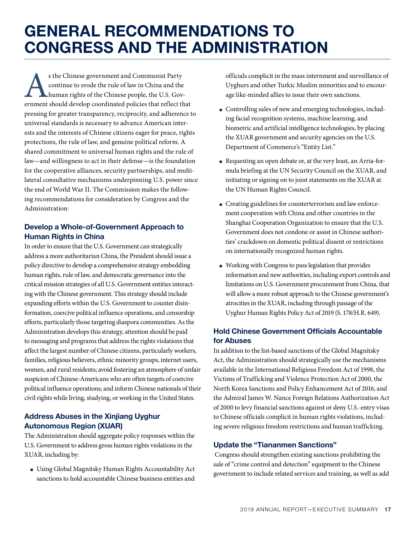## **GENERAL RECOMMENDATIONS TO CONGRESS AND THE ADMINISTRATION**

s the Chinese government and Communist Party<br>continue to erode the rule of law in China and the<br>human rights of the Chinese people, the U.S. Government should develop coordinated policies that reflect the continue to erode the rule of law in China and the human rights of the Chinese people, the U.S. Government should develop coordinated policies that reflect that pressing for greater transparency, reciprocity, and adherence to universal standards is necessary to advance American interests and the interests of Chinese citizens eager for peace, rights protections, the rule of law, and genuine political reform. A shared commitment to universal human rights and the rule of law—and willingness to act in their defense—is the foundation for the cooperative alliances, security partnerships, and multilateral consultative mechanisms underpinning U.S. power since the end of World War II. The Commission makes the following recommendations for consideration by Congress and the Administration:

## **Develop a Whole-of-Government Approach to Human Rights in China**

In order to ensure that the U.S. Government can strategically address a more authoritarian China, the President should issue a policy directive to develop a comprehensive strategy embedding human rights, rule of law, and democratic governance into the critical mission strategies of all U.S. Government entities interacting with the Chinese government. This strategy should include expanding efforts within the U.S. Government to counter disinformation, coercive political influence operations, and censorship efforts, particularly those targeting diaspora communities. As the Administration develops this strategy, attention should be paid to messaging and programs that address the rights violations that affect the largest number of Chinese citizens, particularly workers, families, religious believers, ethnic minority groups, internet users, women, and rural residents; avoid fostering an atmosphere of unfair suspicion of Chinese-Americans who are often targets of coercive political influence operations; and inform Chinese nationals of their civil rights while living, studying, or working in the United States.

## **Address Abuses in the Xinjiang Uyghur Autonomous Region (XUAR)**

The Administration should aggregate policy responses within the U.S. Government to address gross human rights violations in the XUAR, including by:

■ Using Global Magnitsky Human Rights Accountability Act sanctions to hold accountable Chinese business entities and officials complicit in the mass internment and surveillance of Uyghurs and other Turkic Muslim minorities and to encourage like-minded allies to issue their own sanctions.

- Controlling sales of new and emerging technologies, including facial recognition systems, machine learning, and biometric and artificial intelligence technologies, by placing the XUAR government and security agencies on the U.S. Department of Commerce's "Entity List."
- Requesting an open debate or, at the very least, an Arria-formula briefing at the UN Security Council on the XUAR, and initiating or signing on to joint statements on the XUAR at the UN Human Rights Council.
- Creating guidelines for counterterrorism and law enforcement cooperation with China and other countries in the Shanghai Cooperation Organization to ensure that the U.S. Government does not condone or assist in Chinese authorities' crackdown on domestic political dissent or restrictions on internationally recognized human rights.
- Working with Congress to pass legislation that provides information and new authorities, including export controls and limitations on U.S. Government procurement from China, that will allow a more robust approach to the Chinese government's atrocities in the XUAR, including through passage of the Uyghur Human Rights Policy Act of 2019 (S. 178/H.R. 649).

## **Hold Chinese Government Officials Accountable for Abuses**

In addition to the list-based sanctions of the Global Magnitsky Act, the Administration should strategically use the mechanisms available in the International Religious Freedom Act of 1998, the Victims of Trafficking and Violence Protection Act of 2000, the North Korea Sanctions and Policy Enhancement Act of 2016, and the Admiral James W. Nance Foreign Relations Authorization Act of 2000 to levy financial sanctions against or deny U.S.-entry visas to Chinese officials complicit in human rights violations, including severe religious freedom restrictions and human trafficking.

## **Update the "Tiananmen Sanctions"**

 Congress should strengthen existing sanctions prohibiting the sale of "crime control and detection" equipment to the Chinese government to include related services and training, as well as add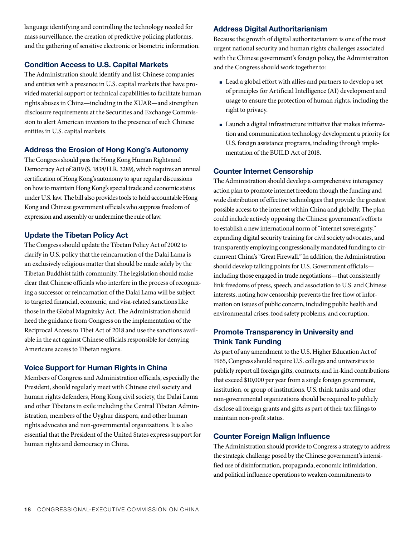language identifying and controlling the technology needed for mass surveillance, the creation of predictive policing platforms, and the gathering of sensitive electronic or biometric information.

## **Condition Access to U.S. Capital Markets**

The Administration should identify and list Chinese companies and entities with a presence in U.S. capital markets that have provided material support or technical capabilities to facilitate human rights abuses in China—including in the XUAR—and strengthen disclosure requirements at the Securities and Exchange Commission to alert American investors to the presence of such Chinese entities in U.S. capital markets.

## **Address the Erosion of Hong Kong's Autonomy**

The Congress should pass the Hong Kong Human Rights and Democracy Act of 2019 (S. 1838/H.R. 3289), which requires an annual certification of Hong Kong's autonomy to spur regular discussions on how to maintain Hong Kong's special trade and economic status under U.S. law. The bill also provides tools to hold accountable Hong Kong and Chinese government officials who suppress freedom of expression and assembly or undermine the rule of law.

## **Update the Tibetan Policy Act**

The Congress should update the Tibetan Policy Act of 2002 to clarify in U.S. policy that the reincarnation of the Dalai Lama is an exclusively religious matter that should be made solely by the Tibetan Buddhist faith community. The legislation should make clear that Chinese officials who interfere in the process of recognizing a successor or reincarnation of the Dalai Lama will be subject to targeted financial, economic, and visa-related sanctions like those in the Global Magnitsky Act. The Administration should heed the guidance from Congress on the implementation of the Reciprocal Access to Tibet Act of 2018 and use the sanctions available in the act against Chinese officials responsible for denying Americans access to Tibetan regions.

## **Voice Support for Human Rights in China**

Members of Congress and Administration officials, especially the President, should regularly meet with Chinese civil society and human rights defenders, Hong Kong civil society, the Dalai Lama and other Tibetans in exile including the Central Tibetan Administration, members of the Uyghur diaspora, and other human rights advocates and non-governmental organizations. It is also essential that the President of the United States express support for human rights and democracy in China.

## **Address Digital Authoritarianism**

Because the growth of digital authoritarianism is one of the most urgent national security and human rights challenges associated with the Chinese government's foreign policy, the Administration and the Congress should work together to:

- Lead a global effort with allies and partners to develop a set of principles for Artificial Intelligence (AI) development and usage to ensure the protection of human rights, including the right to privacy.
- Launch a digital infrastructure initiative that makes information and communication technology development a priority for U.S. foreign assistance programs, including through implementation of the BUILD Act of 2018.

## **Counter Internet Censorship**

The Administration should develop a comprehensive interagency action plan to promote internet freedom though the funding and wide distribution of effective technologies that provide the greatest possible access to the internet within China and globally. The plan could include actively opposing the Chinese government's efforts to establish a new international norm of "internet sovereignty," expanding digital security training for civil society advocates, and transparently employing congressionally mandated funding to circumvent China's "Great Firewall." In addition, the Administration should develop talking points for U.S. Government officials including those engaged in trade negotiations—that consistently link freedoms of press, speech, and association to U.S. and Chinese interests, noting how censorship prevents the free flow of information on issues of public concern, including public health and environmental crises, food safety problems, and corruption.

## **Promote Transparency in University and Think Tank Funding**

As part of any amendment to the U.S. Higher Education Act of 1965, Congress should require U.S. colleges and universities to publicly report all foreign gifts, contracts, and in-kind contributions that exceed \$10,000 per year from a single foreign government, institution, or group of institutions. U.S. think tanks and other non-governmental organizations should be required to publicly disclose all foreign grants and gifts as part of their tax filings to maintain non-profit status.

## **Counter Foreign Malign Influence**

The Administration should provide to Congress a strategy to address the strategic challenge posed by the Chinese government's intensified use of disinformation, propaganda, economic intimidation, and political influence operations to weaken commitments to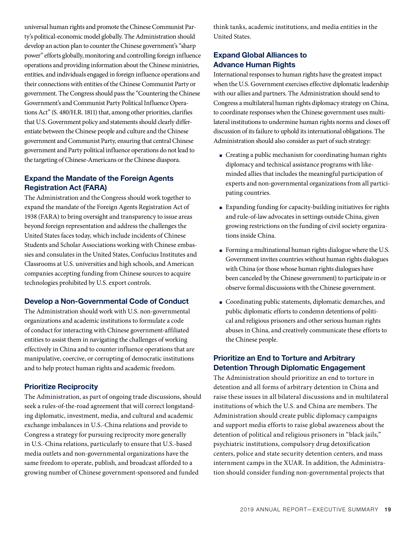universal human rights and promote the Chinese Communist Party's political-economic model globally. The Administration should develop an action plan to counter the Chinese government's "sharp power" efforts globally, monitoring and controlling foreign influence operations and providing information about the Chinese ministries, entities, and individuals engaged in foreign influence operations and their connections with entities of the Chinese Communist Party or government. The Congress should pass the "Countering the Chinese Government's and Communist Party Political Influence Operations Act" (S. 480/H.R. 1811) that, among other priorities, clarifies that U.S. Government policy and statements should clearly differentiate between the Chinese people and culture and the Chinese government and Communist Party, ensuring that central Chinese government and Party political influence operations do not lead to the targeting of Chinese-Americans or the Chinese diaspora.

## **Expand the Mandate of the Foreign Agents Registration Act (FARA)**

The Administration and the Congress should work together to expand the mandate of the Foreign Agents Registration Act of 1938 (FARA) to bring oversight and transparency to issue areas beyond foreign representation and address the challenges the United States faces today, which include incidents of Chinese Students and Scholar Associations working with Chinese embassies and consulates in the United States, Confucius Institutes and Classrooms at U.S. universities and high schools, and American companies accepting funding from Chinese sources to acquire technologies prohibited by U.S. export controls.

## **Develop a Non-Governmental Code of Conduct**

The Administration should work with U.S. non-governmental organizations and academic institutions to formulate a code of conduct for interacting with Chinese government-affiliated entities to assist them in navigating the challenges of working effectively in China and to counter influence operations that are manipulative, coercive, or corrupting of democratic institutions and to help protect human rights and academic freedom.

## **Prioritize Reciprocity**

The Administration, as part of ongoing trade discussions, should seek a rules-of-the-road agreement that will correct longstanding diplomatic, investment, media, and cultural and academic exchange imbalances in U.S.-China relations and provide to Congress a strategy for pursuing reciprocity more generally in U.S.-China relations, particularly to ensure that U.S.-based media outlets and non-governmental organizations have the same freedom to operate, publish, and broadcast afforded to a growing number of Chinese government-sponsored and funded

think tanks, academic institutions, and media entities in the United States.

## **Expand Global Alliances to Advance Human Rights**

International responses to human rights have the greatest impact when the U.S. Government exercises effective diplomatic leadership with our allies and partners. The Administration should send to Congress a multilateral human rights diplomacy strategy on China, to coordinate responses when the Chinese government uses multilateral institutions to undermine human rights norms and closes off discussion of its failure to uphold its international obligations. The Administration should also consider as part of such strategy:

- Creating a public mechanism for coordinating human rights diplomacy and technical assistance programs with likeminded allies that includes the meaningful participation of experts and non-governmental organizations from all participating countries.
- Expanding funding for capacity-building initiatives for rights and rule-of-law advocates in settings outside China, given growing restrictions on the funding of civil society organizations inside China.
- Forming a multinational human rights dialogue where the U.S. Government invites countries without human rights dialogues with China (or those whose human rights dialogues have been canceled by the Chinese government) to participate in or observe formal discussions with the Chinese government.
- Coordinating public statements, diplomatic demarches, and public diplomatic efforts to condemn detentions of political and religious prisoners and other serious human rights abuses in China, and creatively communicate these efforts to the Chinese people.

## **Prioritize an End to Torture and Arbitrary Detention Through Diplomatic Engagement**

The Administration should prioritize an end to torture in detention and all forms of arbitrary detention in China and raise these issues in all bilateral discussions and in multilateral institutions of which the U.S. and China are members. The Administration should create public diplomacy campaigns and support media efforts to raise global awareness about the detention of political and religious prisoners in "black jails," psychiatric institutions, compulsory drug detoxification centers, police and state security detention centers, and mass internment camps in the XUAR. In addition, the Administration should consider funding non-governmental projects that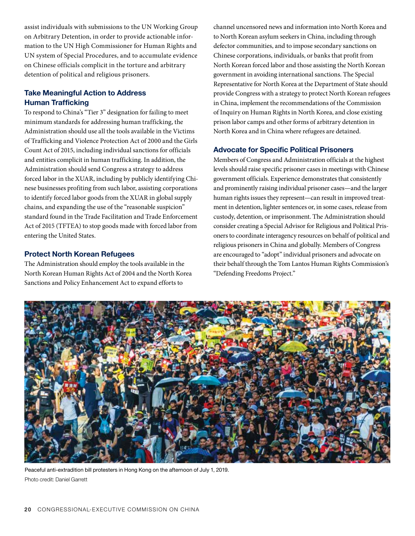assist individuals with submissions to the UN Working Group on Arbitrary Detention, in order to provide actionable information to the UN High Commissioner for Human Rights and UN system of Special Procedures, and to accumulate evidence on Chinese officials complicit in the torture and arbitrary detention of political and religious prisoners.

## **Take Meaningful Action to Address Human Trafficking**

To respond to China's "Tier 3" designation for failing to meet minimum standards for addressing human trafficking, the Administration should use all the tools available in the Victims of Trafficking and Violence Protection Act of 2000 and the Girls Count Act of 2015, including individual sanctions for officials and entities complicit in human trafficking. In addition, the Administration should send Congress a strategy to address forced labor in the XUAR, including by publicly identifying Chinese businesses profiting from such labor, assisting corporations to identify forced labor goods from the XUAR in global supply chains, and expanding the use of the "reasonable suspicion" standard found in the Trade Facilitation and Trade Enforcement Act of 2015 (TFTEA) to stop goods made with forced labor from entering the United States.

## **Protect North Korean Refugees**

The Administration should employ the tools available in the North Korean Human Rights Act of 2004 and the North Korea Sanctions and Policy Enhancement Act to expand efforts to

channel uncensored news and information into North Korea and to North Korean asylum seekers in China, including through defector communities, and to impose secondary sanctions on Chinese corporations, individuals, or banks that profit from North Korean forced labor and those assisting the North Korean government in avoiding international sanctions. The Special Representative for North Korea at the Department of State should provide Congress with a strategy to protect North Korean refugees in China, implement the recommendations of the Commission of Inquiry on Human Rights in North Korea, and close existing prison labor camps and other forms of arbitrary detention in North Korea and in China where refugees are detained.

## **Advocate for Specific Political Prisoners**

Members of Congress and Administration officials at the highest levels should raise specific prisoner cases in meetings with Chinese government officials. Experience demonstrates that consistently and prominently raising individual prisoner cases—and the larger human rights issues they represent—can result in improved treatment in detention, lighter sentences or, in some cases, release from custody, detention, or imprisonment. The Administration should consider creating a Special Advisor for Religious and Political Prisoners to coordinate interagency resources on behalf of political and religious prisoners in China and globally. Members of Congress are encouraged to "adopt" individual prisoners and advocate on their behalf through the Tom Lantos Human Rights Commission's "Defending Freedoms Project."



Peaceful anti-extradition bill protesters in Hong Kong on the afternoon of July 1, 2019. Photo credit: Daniel Garrett